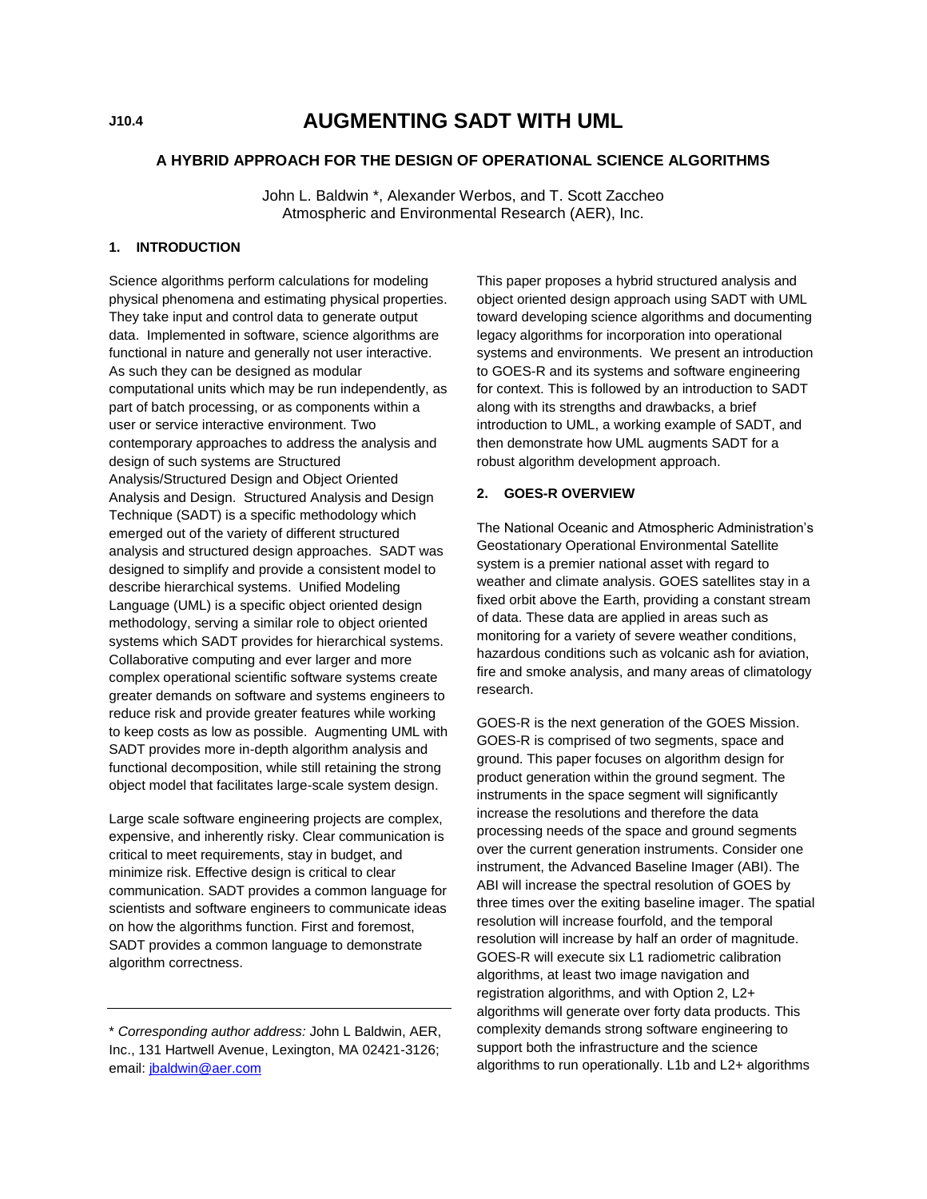# **AUGMENTING SADT WITH UML**

#### **A HYBRID APPROACH FOR THE DESIGN OF OPERATIONAL SCIENCE ALGORITHMS**

John L. Baldwin \*, Alexander Werbos, and T. Scott Zaccheo Atmospheric and Environmental Research (AER), Inc.

#### **1. INTRODUCTION**

Science algorithms perform calculations for modeling physical phenomena and estimating physical properties. They take input and control data to generate output data. Implemented in software, science algorithms are functional in nature and generally not user interactive. As such they can be designed as modular computational units which may be run independently, as part of batch processing, or as components within a user or service interactive environment. Two contemporary approaches to address the analysis and design of such systems are Structured Analysis/Structured Design and Object Oriented Analysis and Design. Structured Analysis and Design Technique (SADT) is a specific methodology which emerged out of the variety of different structured analysis and structured design approaches. SADT was designed to simplify and provide a consistent model to describe hierarchical systems. Unified Modeling Language (UML) is a specific object oriented design methodology, serving a similar role to object oriented systems which SADT provides for hierarchical systems. Collaborative computing and ever larger and more complex operational scientific software systems create greater demands on software and systems engineers to reduce risk and provide greater features while working to keep costs as low as possible. Augmenting UML with SADT provides more in-depth algorithm analysis and functional decomposition, while still retaining the strong object model that facilitates large-scale system design.

Large scale software engineering projects are complex, expensive, and inherently risky. Clear communication is critical to meet requirements, stay in budget, and minimize risk. Effective design is critical to clear communication. SADT provides a common language for scientists and software engineers to communicate ideas on how the algorithms function. First and foremost, SADT provides a common language to demonstrate algorithm correctness.

This paper proposes a hybrid structured analysis and object oriented design approach using SADT with UML toward developing science algorithms and documenting legacy algorithms for incorporation into operational systems and environments. We present an introduction to GOES-R and its systems and software engineering for context. This is followed by an introduction to SADT along with its strengths and drawbacks, a brief introduction to UML, a working example of SADT, and then demonstrate how UML augments SADT for a robust algorithm development approach.

## **2. GOES-R OVERVIEW**

The National Oceanic and Atmospheric Administration's Geostationary Operational Environmental Satellite system is a premier national asset with regard to weather and climate analysis. GOES satellites stay in a fixed orbit above the Earth, providing a constant stream of data. These data are applied in areas such as monitoring for a variety of severe weather conditions, hazardous conditions such as volcanic ash for aviation, fire and smoke analysis, and many areas of climatology research.

GOES-R is the next generation of the GOES Mission. GOES-R is comprised of two segments, space and ground. This paper focuses on algorithm design for product generation within the ground segment. The instruments in the space segment will significantly increase the resolutions and therefore the data processing needs of the space and ground segments over the current generation instruments. Consider one instrument, the Advanced Baseline Imager (ABI). The ABI will increase the spectral resolution of GOES by three times over the exiting baseline imager. The spatial resolution will increase fourfold, and the temporal resolution will increase by half an order of magnitude. GOES-R will execute six L1 radiometric calibration algorithms, at least two image navigation and registration algorithms, and with Option 2, L2+ algorithms will generate over forty data products. This complexity demands strong software engineering to support both the infrastructure and the science algorithms to run operationally. L1b and L2+ algorithms

<sup>\*</sup> *Corresponding author address:* John L Baldwin, AER, Inc., 131 Hartwell Avenue, Lexington, MA 02421-3126; email[: jbaldwin@aer.com](mailto:jbaldwin@aer.com)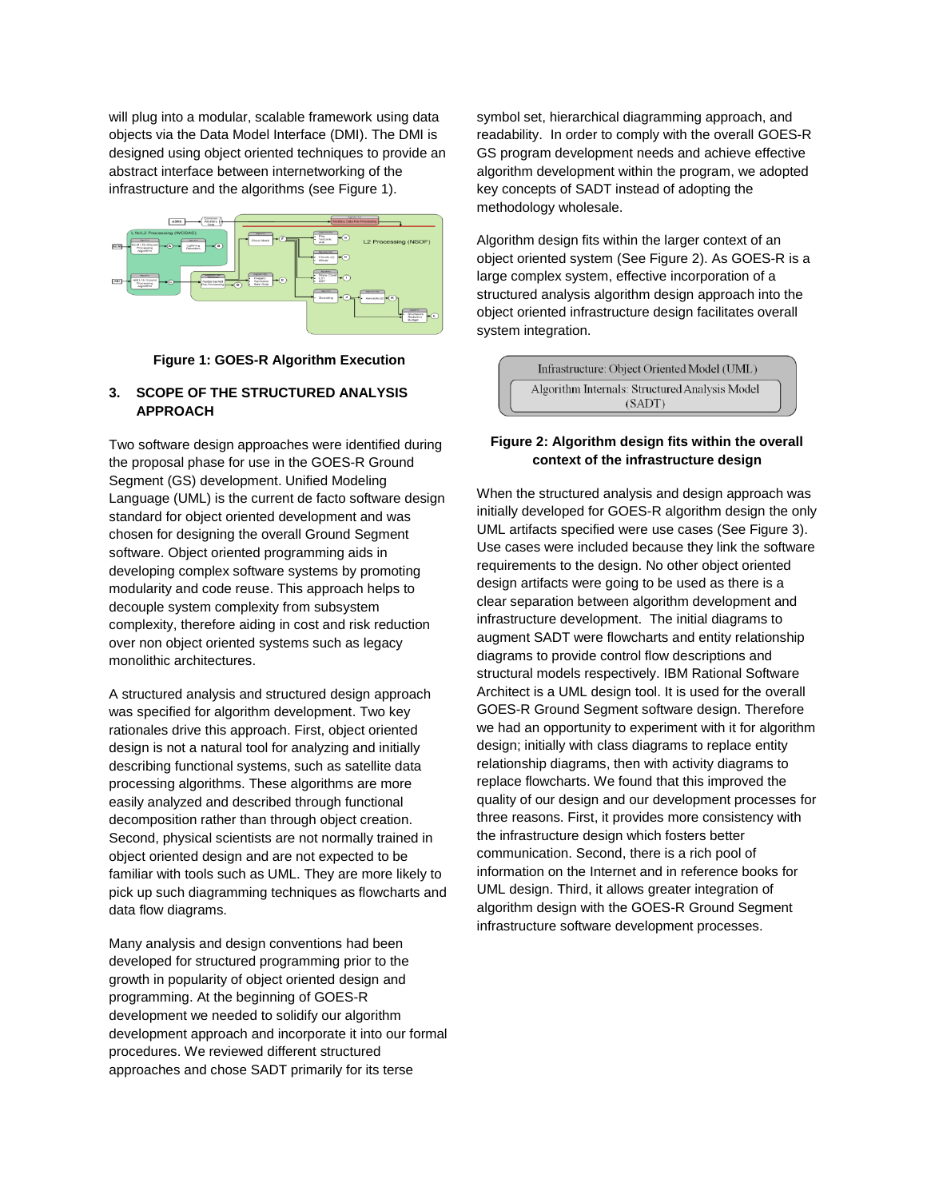will plug into a modular, scalable framework using data objects via the Data Model Interface (DMI). The DMI is designed using object oriented techniques to provide an abstract interface between internetworking of the infrastructure and the algorithms (see Figure 1).



#### **Figure 1: GOES-R Algorithm Execution**

# **3. SCOPE OF THE STRUCTURED ANALYSIS APPROACH**

Two software design approaches were identified during the proposal phase for use in the GOES-R Ground Segment (GS) development. Unified Modeling Language (UML) is the current de facto software design standard for object oriented development and was chosen for designing the overall Ground Segment software. Object oriented programming aids in developing complex software systems by promoting modularity and code reuse. This approach helps to decouple system complexity from subsystem complexity, therefore aiding in cost and risk reduction over non object oriented systems such as legacy monolithic architectures.

A structured analysis and structured design approach was specified for algorithm development. Two key rationales drive this approach. First, object oriented design is not a natural tool for analyzing and initially describing functional systems, such as satellite data processing algorithms. These algorithms are more easily analyzed and described through functional decomposition rather than through object creation. Second, physical scientists are not normally trained in object oriented design and are not expected to be familiar with tools such as UML. They are more likely to pick up such diagramming techniques as flowcharts and data flow diagrams.

Many analysis and design conventions had been developed for structured programming prior to the growth in popularity of object oriented design and programming. At the beginning of GOES-R development we needed to solidify our algorithm development approach and incorporate it into our formal procedures. We reviewed different structured approaches and chose SADT primarily for its terse

symbol set, hierarchical diagramming approach, and readability. In order to comply with the overall GOES-R GS program development needs and achieve effective algorithm development within the program, we adopted key concepts of SADT instead of adopting the methodology wholesale.

Algorithm design fits within the larger context of an object oriented system (See Figure 2). As GOES-R is a large complex system, effective incorporation of a structured analysis algorithm design approach into the object oriented infrastructure design facilitates overall system integration.

| Infrastructure: Object Oriented Model (UML)    |
|------------------------------------------------|
| Algorithm Internals: Structured Analysis Model |
| (SADT)                                         |

## **Figure 2: Algorithm design fits within the overall context of the infrastructure design**

When the structured analysis and design approach was initially developed for GOES-R algorithm design the only UML artifacts specified were use cases (See Figure 3). Use cases were included because they link the software requirements to the design. No other object oriented design artifacts were going to be used as there is a clear separation between algorithm development and infrastructure development. The initial diagrams to augment SADT were flowcharts and entity relationship diagrams to provide control flow descriptions and structural models respectively. IBM Rational Software Architect is a UML design tool. It is used for the overall GOES-R Ground Segment software design. Therefore we had an opportunity to experiment with it for algorithm design; initially with class diagrams to replace entity relationship diagrams, then with activity diagrams to replace flowcharts. We found that this improved the quality of our design and our development processes for three reasons. First, it provides more consistency with the infrastructure design which fosters better communication. Second, there is a rich pool of information on the Internet and in reference books for UML design. Third, it allows greater integration of algorithm design with the GOES-R Ground Segment infrastructure software development processes.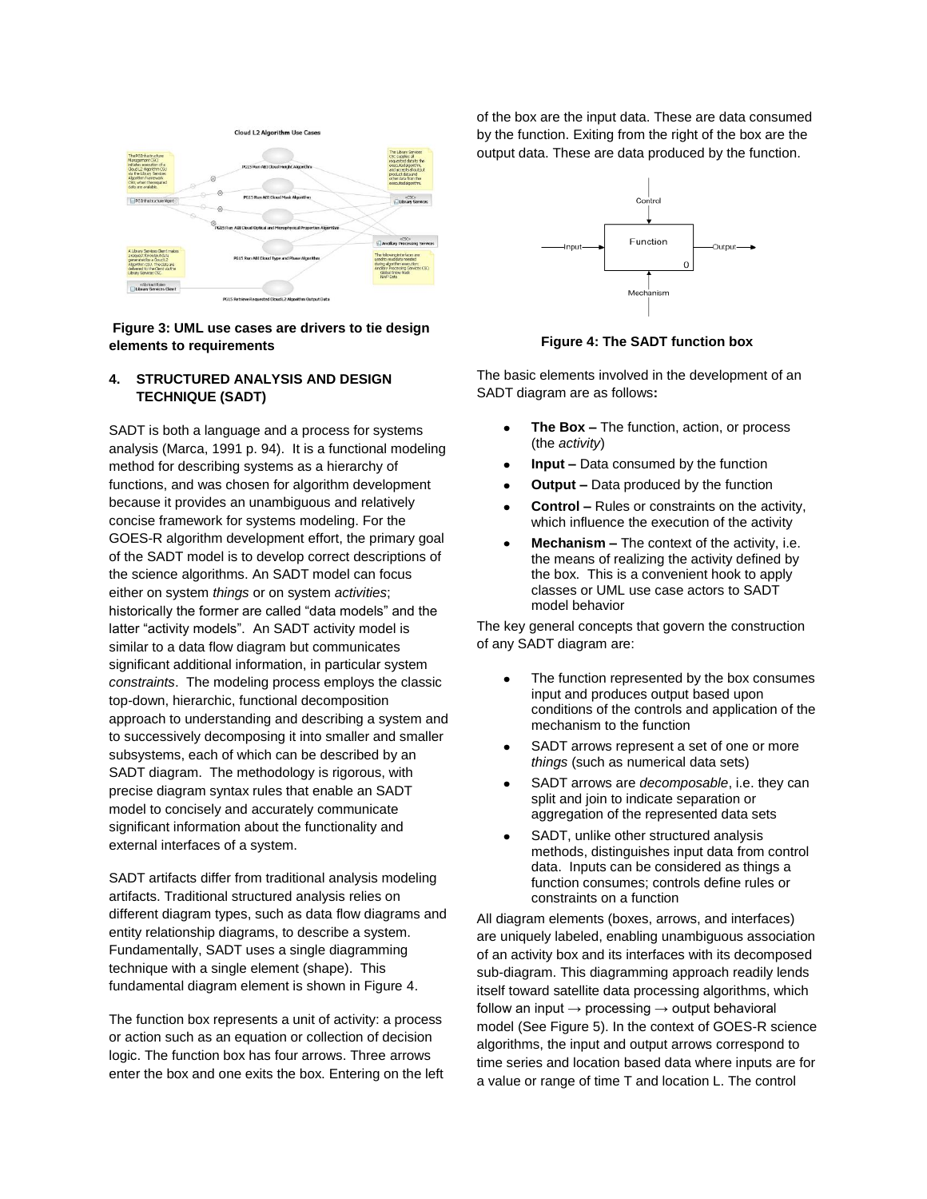

#### **Figure 3: UML use cases are drivers to tie design elements to requirements**

## **4. STRUCTURED ANALYSIS AND DESIGN TECHNIQUE (SADT)**

SADT is both a language and a process for systems analysis (Marca, 1991 p. 94). It is a functional modeling method for describing systems as a hierarchy of functions, and was chosen for algorithm development because it provides an unambiguous and relatively concise framework for systems modeling. For the GOES-R algorithm development effort, the primary goal of the SADT model is to develop correct descriptions of the science algorithms. An SADT model can focus either on system *things* or on system *activities*; historically the former are called "data models" and the latter "activity models". An SADT activity model is similar to a data flow diagram but communicates significant additional information, in particular system *constraints*. The modeling process employs the classic top-down, hierarchic, functional decomposition approach to understanding and describing a system and to successively decomposing it into smaller and smaller subsystems, each of which can be described by an SADT diagram. The methodology is rigorous, with precise diagram syntax rules that enable an SADT model to concisely and accurately communicate significant information about the functionality and external interfaces of a system.

SADT artifacts differ from traditional analysis modeling artifacts. Traditional structured analysis relies on different diagram types, such as data flow diagrams and entity relationship diagrams, to describe a system. Fundamentally, SADT uses a single diagramming technique with a single element (shape). This fundamental diagram element is shown in Figure 4.

The function box represents a unit of activity: a process or action such as an equation or collection of decision logic. The function box has four arrows. Three arrows enter the box and one exits the box. Entering on the left of the box are the input data. These are data consumed by the function. Exiting from the right of the box are the output data. These are data produced by the function.



#### **Figure 4: The SADT function box**

The basic elements involved in the development of an SADT diagram are as follows**:**

- **The Box –** The function, action, or process (the *activity*)
- **Input –** Data consumed by the function
- **Output –** Data produced by the function
- **Control –** Rules or constraints on the activity, which influence the execution of the activity
- **Mechanism –** The context of the activity, i.e. the means of realizing the activity defined by the box. This is a convenient hook to apply classes or UML use case actors to SADT model behavior

The key general concepts that govern the construction of any SADT diagram are:

- The function represented by the box consumes input and produces output based upon conditions of the controls and application of the mechanism to the function
- SADT arrows represent a set of one or more *things* (such as numerical data sets)
- SADT arrows are *decomposable*, i.e. they can split and join to indicate separation or aggregation of the represented data sets
- SADT, unlike other structured analysis methods, distinguishes input data from control data. Inputs can be considered as things a function consumes; controls define rules or constraints on a function

All diagram elements (boxes, arrows, and interfaces) are uniquely labeled, enabling unambiguous association of an activity box and its interfaces with its decomposed sub-diagram. This diagramming approach readily lends itself toward satellite data processing algorithms, which follow an input  $\rightarrow$  processing  $\rightarrow$  output behavioral model (See Figure 5). In the context of GOES-R science algorithms, the input and output arrows correspond to time series and location based data where inputs are for a value or range of time T and location L. The control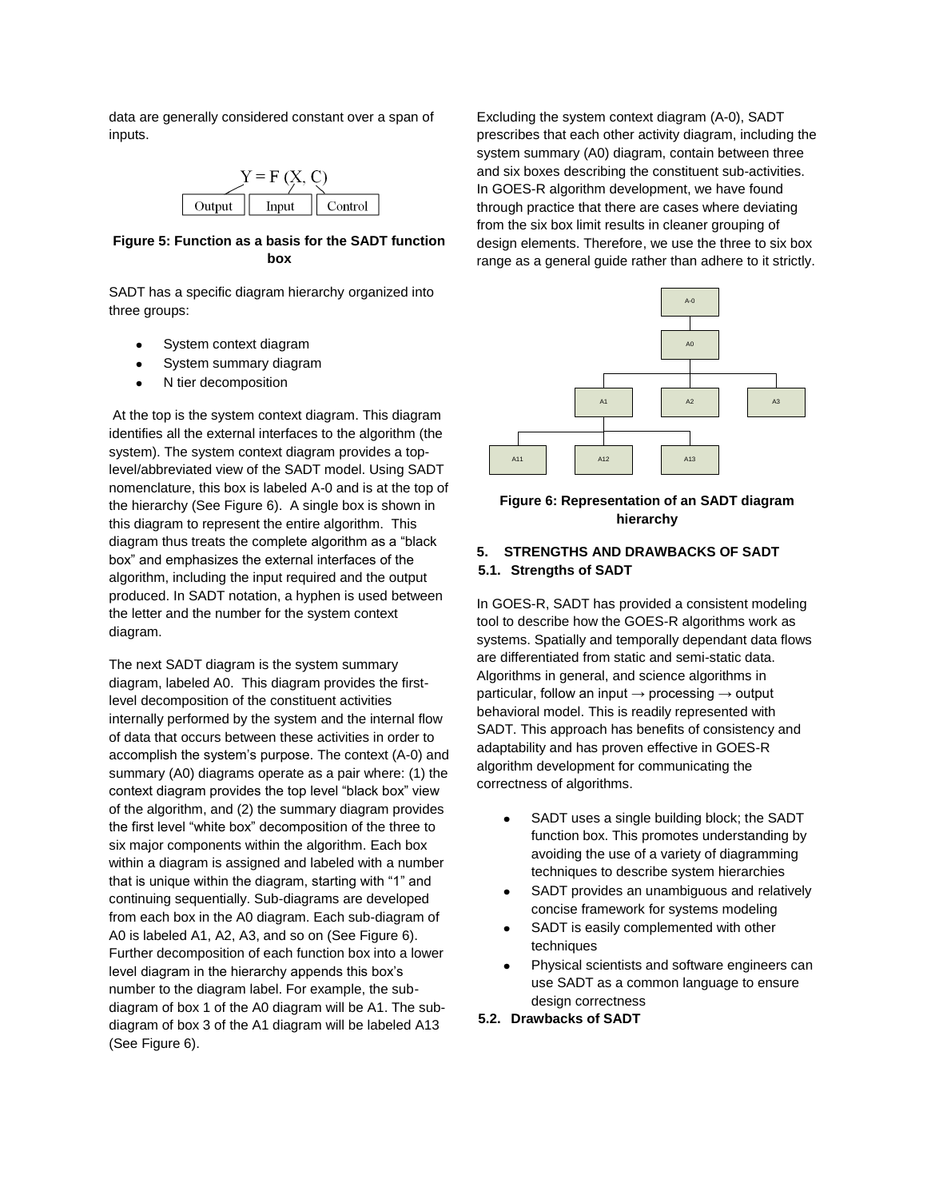data are generally considered constant over a span of inputs.



## **Figure 5: Function as a basis for the SADT function box**

SADT has a specific diagram hierarchy organized into three groups:

- System context diagram
- $\bullet$ System summary diagram
- N tier decomposition

At the top is the system context diagram. This diagram identifies all the external interfaces to the algorithm (the system). The system context diagram provides a toplevel/abbreviated view of the SADT model. Using SADT nomenclature, this box is labeled A-0 and is at the top of the hierarchy (See Figure 6). A single box is shown in this diagram to represent the entire algorithm. This diagram thus treats the complete algorithm as a "black box" and emphasizes the external interfaces of the algorithm, including the input required and the output produced. In SADT notation, a hyphen is used between the letter and the number for the system context diagram.

The next SADT diagram is the system summary diagram, labeled A0. This diagram provides the firstlevel decomposition of the constituent activities internally performed by the system and the internal flow of data that occurs between these activities in order to accomplish the system's purpose. The context (A-0) and summary (A0) diagrams operate as a pair where: (1) the context diagram provides the top level "black box" view of the algorithm, and (2) the summary diagram provides the first level "white box" decomposition of the three to six major components within the algorithm. Each box within a diagram is assigned and labeled with a number that is unique within the diagram, starting with "1" and continuing sequentially. Sub-diagrams are developed from each box in the A0 diagram. Each sub-diagram of A0 is labeled A1, A2, A3, and so on (See Figure 6). Further decomposition of each function box into a lower level diagram in the hierarchy appends this box's number to the diagram label. For example, the subdiagram of box 1 of the A0 diagram will be A1. The subdiagram of box 3 of the A1 diagram will be labeled A13 (See Figure 6).

Excluding the system context diagram (A-0), SADT prescribes that each other activity diagram, including the system summary (A0) diagram, contain between three and six boxes describing the constituent sub-activities. In GOES-R algorithm development, we have found through practice that there are cases where deviating from the six box limit results in cleaner grouping of design elements. Therefore, we use the three to six box range as a general guide rather than adhere to it strictly.



## **Figure 6: Representation of an SADT diagram hierarchy**

## **5. STRENGTHS AND DRAWBACKS OF SADT 5.1. Strengths of SADT**

In GOES-R, SADT has provided a consistent modeling tool to describe how the GOES-R algorithms work as systems. Spatially and temporally dependant data flows are differentiated from static and semi-static data. Algorithms in general, and science algorithms in particular, follow an input  $\rightarrow$  processing  $\rightarrow$  output behavioral model. This is readily represented with SADT. This approach has benefits of consistency and adaptability and has proven effective in GOES-R algorithm development for communicating the correctness of algorithms.

- SADT uses a single building block; the SADT  $\bullet$ function box. This promotes understanding by avoiding the use of a variety of diagramming techniques to describe system hierarchies
- SADT provides an unambiguous and relatively concise framework for systems modeling
- SADT is easily complemented with other techniques
- Physical scientists and software engineers can use SADT as a common language to ensure design correctness

**5.2. Drawbacks of SADT**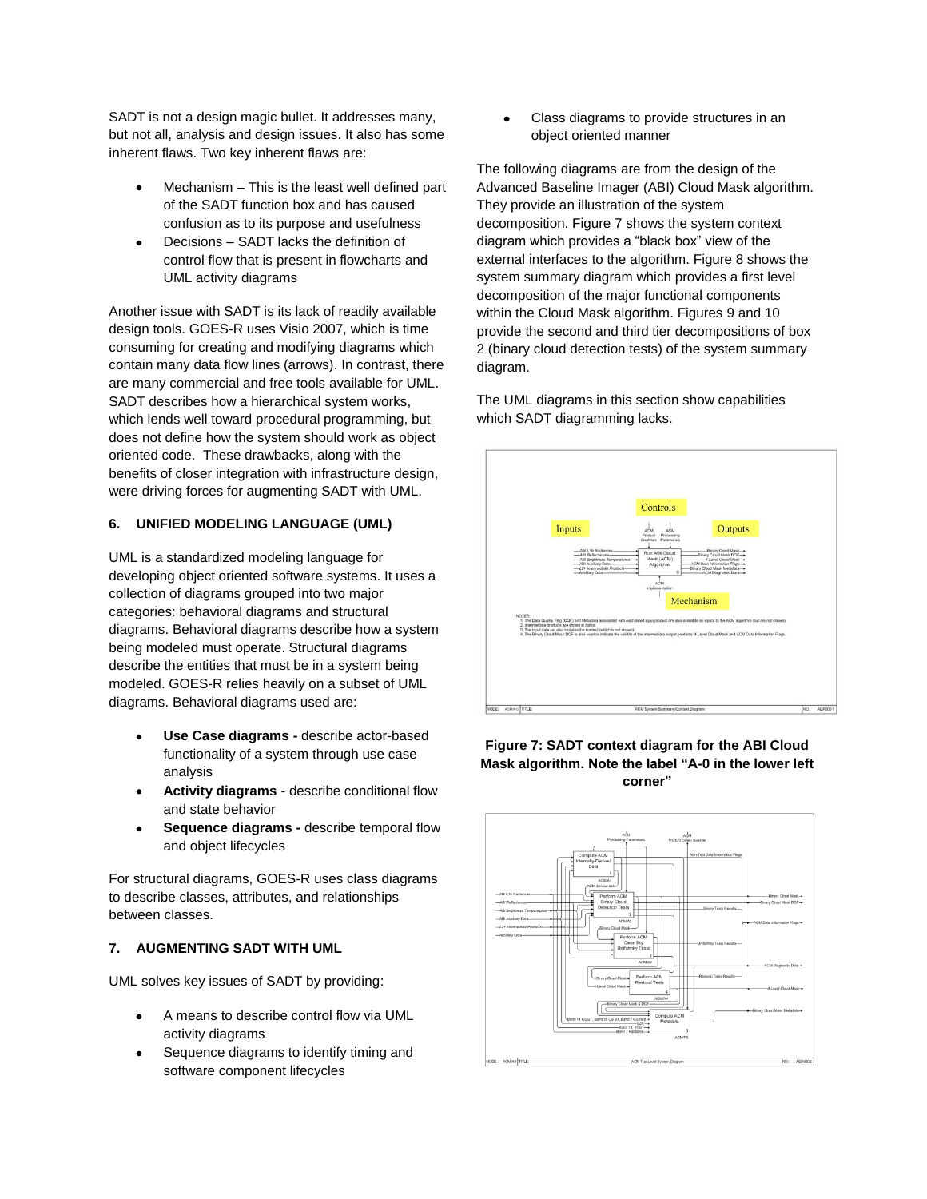SADT is not a design magic bullet. It addresses many, but not all, analysis and design issues. It also has some inherent flaws. Two key inherent flaws are:

- Mechanism This is the least well defined part of the SADT function box and has caused confusion as to its purpose and usefulness
- Decisions SADT lacks the definition of control flow that is present in flowcharts and UML activity diagrams

Another issue with SADT is its lack of readily available design tools. GOES-R uses Visio 2007, which is time consuming for creating and modifying diagrams which contain many data flow lines (arrows). In contrast, there are many commercial and free tools available for UML. SADT describes how a hierarchical system works, which lends well toward procedural programming, but does not define how the system should work as object oriented code. These drawbacks, along with the benefits of closer integration with infrastructure design, were driving forces for augmenting SADT with UML.

# **6. UNIFIED MODELING LANGUAGE (UML)**

UML is a standardized modeling language for developing object oriented software systems. It uses a collection of diagrams grouped into two major categories: behavioral diagrams and structural diagrams. Behavioral diagrams describe how a system being modeled must operate. Structural diagrams describe the entities that must be in a system being modeled. GOES-R relies heavily on a subset of UML diagrams. Behavioral diagrams used are:

- **Use Case diagrams -** describe actor-based  $\bullet$ functionality of a system through use case analysis
- **Activity diagrams** describe conditional flow and state behavior
- **Sequence diagrams -** describe temporal flow  $\bullet$ and object lifecycles

For structural diagrams, GOES-R uses class diagrams to describe classes, attributes, and relationships between classes.

# **7. AUGMENTING SADT WITH UML**

UML solves key issues of SADT by providing:

- A means to describe control flow via UML activity diagrams
- Sequence diagrams to identify timing and software component lifecycles

Class diagrams to provide structures in an object oriented manner

The following diagrams are from the design of the Advanced Baseline Imager (ABI) Cloud Mask algorithm. They provide an illustration of the system decomposition. Figure 7 shows the system context diagram which provides a "black box" view of the external interfaces to the algorithm. Figure 8 shows the system summary diagram which provides a first level decomposition of the major functional components within the Cloud Mask algorithm. Figures 9 and 10 provide the second and third tier decompositions of box 2 (binary cloud detection tests) of the system summary diagram.

The UML diagrams in this section show capabilities which SADT diagramming lacks.





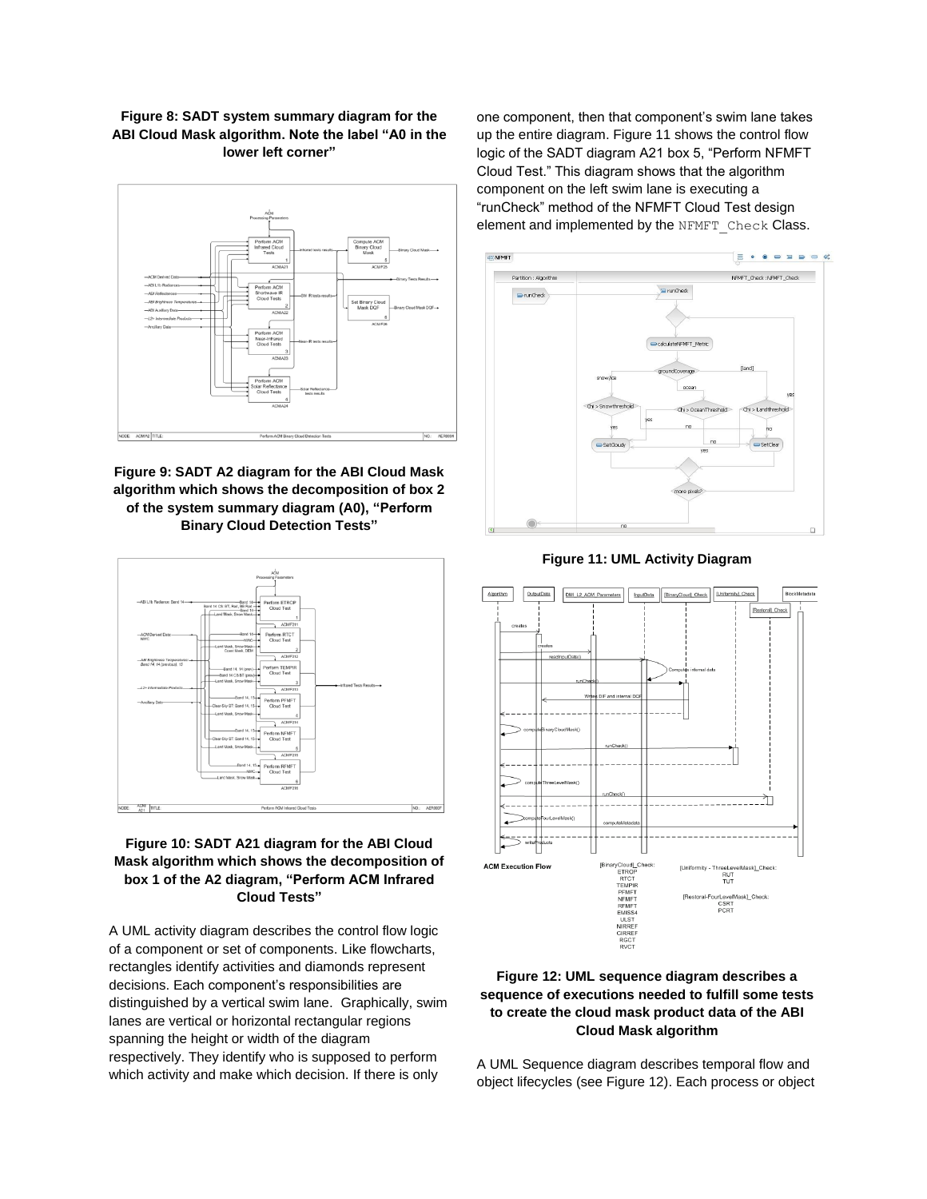**Figure 8: SADT system summary diagram for the ABI Cloud Mask algorithm. Note the label "A0 in the lower left corner"**



**Figure 9: SADT A2 diagram for the ABI Cloud Mask algorithm which shows the decomposition of box 2 of the system summary diagram (A0), "Perform Binary Cloud Detection Tests"**



# **Figure 10: SADT A21 diagram for the ABI Cloud Mask algorithm which shows the decomposition of box 1 of the A2 diagram, "Perform ACM Infrared Cloud Tests"**

A UML activity diagram describes the control flow logic of a component or set of components. Like flowcharts, rectangles identify activities and diamonds represent decisions. Each component's responsibilities are distinguished by a vertical swim lane. Graphically, swim lanes are vertical or horizontal rectangular regions spanning the height or width of the diagram respectively. They identify who is supposed to perform which activity and make which decision. If there is only

one component, then that component's swim lane takes up the entire diagram. Figure 11 shows the control flow logic of the SADT diagram A21 box 5, "Perform NFMFT Cloud Test." This diagram shows that the algorithm component on the left swim lane is executing a "runCheck" method of the NFMFT Cloud Test design element and implemented by the NFMFT\_Check Class.



**Figure 11: UML Activity Diagram**



# **Figure 12: UML sequence diagram describes a sequence of executions needed to fulfill some tests to create the cloud mask product data of the ABI Cloud Mask algorithm**

A UML Sequence diagram describes temporal flow and object lifecycles (see Figure 12). Each process or object